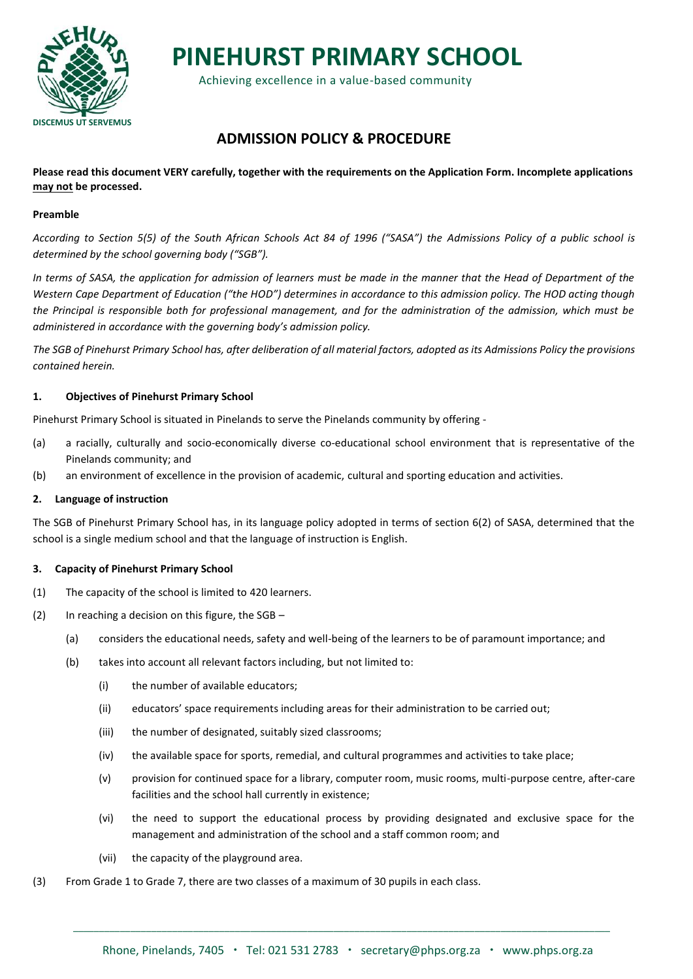

**PINEHURST PRIMARY SCHOOL**

Achieving excellence in a value-based community

# **ADMISSION POLICY & PROCEDURE**

**Please read this document VERY carefully, together with the requirements on the Application Form. Incomplete applications may not be processed.**

#### **Preamble**

*According to Section 5(5) of the South African Schools Act 84 of 1996 ("SASA") the Admissions Policy of a public school is determined by the school governing body ("SGB").*

*In terms of SASA, the application for admission of learners must be made in the manner that the Head of Department of the Western Cape Department of Education ("the HOD") determines in accordance to this admission policy. The HOD acting though the Principal is responsible both for professional management, and for the administration of the admission, which must be administered in accordance with the governing body's admission policy.*

*The SGB of Pinehurst Primary School has, after deliberation of all material factors, adopted as its Admissions Policy the provisions contained herein.*

#### **1. Objectives of Pinehurst Primary School**

Pinehurst Primary School is situated in Pinelands to serve the Pinelands community by offering -

- (a) a racially, culturally and socio-economically diverse co-educational school environment that is representative of the Pinelands community; and
- (b) an environment of excellence in the provision of academic, cultural and sporting education and activities.

#### **2. Language of instruction**

The SGB of Pinehurst Primary School has, in its language policy adopted in terms of section 6(2) of SASA, determined that the school is a single medium school and that the language of instruction is English.

#### **3. Capacity of Pinehurst Primary School**

- (1) The capacity of the school is limited to 420 learners.
- (2) In reaching a decision on this figure, the SGB
	- (a) considers the educational needs, safety and well-being of the learners to be of paramount importance; and
	- (b) takes into account all relevant factors including, but not limited to:
		- (i) the number of available educators;
		- (ii) educators' space requirements including areas for their administration to be carried out;
		- (iii) the number of designated, suitably sized classrooms;
		- (iv) the available space for sports, remedial, and cultural programmes and activities to take place;
		- (v) provision for continued space for a library, computer room, music rooms, multi-purpose centre, after-care facilities and the school hall currently in existence;
		- (vi) the need to support the educational process by providing designated and exclusive space for the management and administration of the school and a staff common room; and
		- (vii) the capacity of the playground area.
- (3) From Grade 1 to Grade 7, there are two classes of a maximum of 30 pupils in each class.

\_\_\_\_\_\_\_\_\_\_\_\_\_\_\_\_\_\_\_\_\_\_\_\_\_\_\_\_\_\_\_\_\_\_\_\_\_\_\_\_\_\_\_\_\_\_\_\_\_\_\_\_\_\_\_\_\_\_\_\_\_\_\_\_\_\_\_\_\_\_\_\_\_\_\_\_\_\_\_\_\_\_\_\_\_\_\_\_\_\_\_\_\_\_\_\_\_\_\_\_\_\_\_